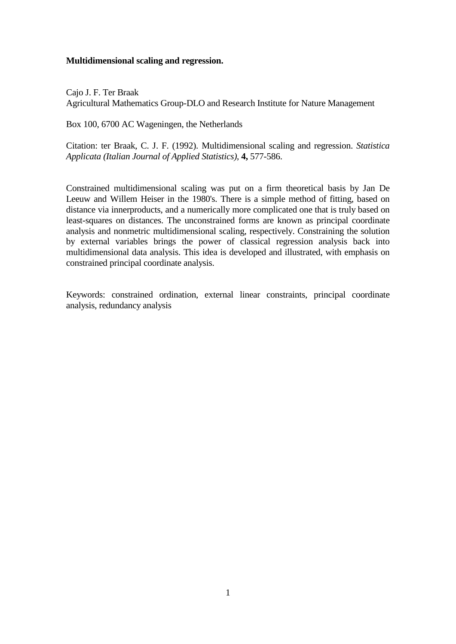## **Multidimensional scaling and regression.**

Cajo J. F. Ter Braak Agricultural Mathematics Group-DLO and Research Institute for Nature Management

Box 100, 6700 AC Wageningen, the Netherlands

Citation: ter Braak, C. J. F. (1992). Multidimensional scaling and regression. *Statistica Applicata (Italian Journal of Applied Statistics)*, **4,** 577-586.

Constrained multidimensional scaling was put on a firm theoretical basis by Jan De Leeuw and Willem Heiser in the 1980's. There is a simple method of fitting, based on distance via innerproducts, and a numerically more complicated one that is truly based on least-squares on distances. The unconstrained forms are known as principal coordinate analysis and nonmetric multidimensional scaling, respectively. Constraining the solution by external variables brings the power of classical regression analysis back into multidimensional data analysis. This idea is developed and illustrated, with emphasis on constrained principal coordinate analysis.

Keywords: constrained ordination, external linear constraints, principal coordinate analysis, redundancy analysis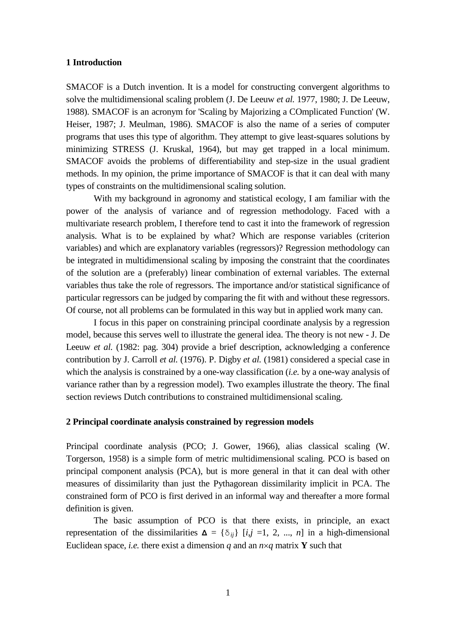### **1 Introduction**

SMACOF is a Dutch invention. It is a model for constructing convergent algorithms to solve the multidimensional scaling problem (J. De Leeuw *et al.* 1977, 1980; J. De Leeuw, 1988). SMACOF is an acronym for 'Scaling by Majorizing a COmplicated Function' (W. Heiser, 1987; J. Meulman, 1986). SMACOF is also the name of a series of computer programs that uses this type of algorithm. They attempt to give least-squares solutions by minimizing STRESS (J. Kruskal, 1964), but may get trapped in a local minimum. SMACOF avoids the problems of differentiability and step-size in the usual gradient methods. In my opinion, the prime importance of SMACOF is that it can deal with many types of constraints on the multidimensional scaling solution.

With my background in agronomy and statistical ecology, I am familiar with the power of the analysis of variance and of regression methodology. Faced with a multivariate research problem, I therefore tend to cast it into the framework of regression analysis. What is to be explained by what? Which are response variables (criterion variables) and which are explanatory variables (regressors)? Regression methodology can be integrated in multidimensional scaling by imposing the constraint that the coordinates of the solution are a (preferably) linear combination of external variables. The external variables thus take the role of regressors. The importance and/or statistical significance of particular regressors can be judged by comparing the fit with and without these regressors. Of course, not all problems can be formulated in this way but in applied work many can.

I focus in this paper on constraining principal coordinate analysis by a regression model, because this serves well to illustrate the general idea. The theory is not new - J. De Leeuw *et al.* (1982: pag. 304) provide a brief description, acknowledging a conference contribution by J. Carroll *et al.* (1976). P. Digby *et al.* (1981) considered a special case in which the analysis is constrained by a one-way classification (*i.e.* by a one-way analysis of variance rather than by a regression model). Two examples illustrate the theory. The final section reviews Dutch contributions to constrained multidimensional scaling.

### **2 Principal coordinate analysis constrained by regression models**

Principal coordinate analysis (PCO; J. Gower, 1966), alias classical scaling (W. Torgerson, 1958) is a simple form of metric multidimensional scaling. PCO is based on principal component analysis (PCA), but is more general in that it can deal with other measures of dissimilarity than just the Pythagorean dissimilarity implicit in PCA. The constrained form of PCO is first derived in an informal way and thereafter a more formal definition is given.

The basic assumption of PCO is that there exists, in principle, an exact representation of the dissimilarities  $\Delta = {\delta_{ii}}$  [*i,j* =1, 2, ..., *n*] in a high-dimensional Euclidean space, *i.e.* there exist a dimension *q* and an  $n \times q$  matrix **Y** such that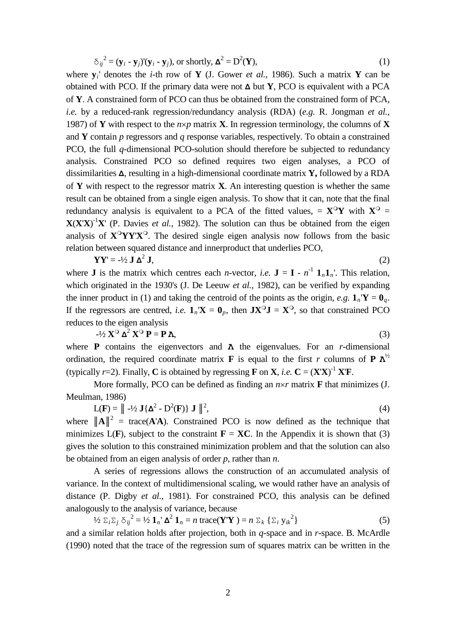$$
\delta_{ij}^{2} = (\mathbf{y}_{i} - \mathbf{y}_{j})(\mathbf{y}_{i} - \mathbf{y}_{j}), \text{ or shortly, } \mathbf{\Delta}^{2} = \mathbf{D}^{2}(\mathbf{Y}),
$$
\n(1)

where **y***i*' denotes the *i*-th row of **Y** (J. Gower *et al.*, 1986). Such a matrix **Y** can be obtained with PCO. If the primary data were not **Δ** but **Y**, PCO is equivalent with a PCA of **Y**. A constrained form of PCO can thus be obtained from the constrained form of PCA, *i.e.* by a reduced-rank regression/redundancy analysis (RDA) (*e.g.* R. Jongman *et al.*, 1987) of **Y** with respect to the  $n \times p$  matrix **X**. In regression terminology, the columns of **X** and **Y** contain *p* regressors and *q* response variables, respectively. To obtain a constrained PCO, the full *q*-dimensional PCO-solution should therefore be subjected to redundancy analysis. Constrained PCO so defined requires two eigen analyses, a PCO of dissimilarities **Δ**, resulting in a high-dimensional coordinate matrix **Y,** followed by a RDA of **Y** with respect to the regressor matrix **X**. An interesting question is whether the same result can be obtained from a single eigen analysis. To show that it can, note that the final redundancy analysis is equivalent to a PCA of the fitted values,  $= \mathbf{X}^{\circ} \mathbf{Y}$  with  $\mathbf{X}^{\circ} =$  $X(X'X)^{-1}X'$  (P. Davies *et al.*, 1982). The solution can thus be obtained from the eigen analysis of  $X^OYY'X^O$ . The desired single eigen analysis now follows from the basic relation between squared distance and innerproduct that underlies PCO,

$$
\mathbf{Y}\mathbf{Y}' = -\frac{1}{2}\mathbf{J}\,\mathbf{\Delta}^2\,\mathbf{J},\tag{2}
$$

where **J** is the matrix which centres each *n*-vector, *i.e.*  $J = I - n^{-1} I_n I_n$ . This relation, which originated in the 1930's (J. De Leeuw *et al.*, 1982), can be verified by expanding the inner product in (1) and taking the centroid of the points as the origin, *e.g.*  $\mathbf{1}_n \mathbf{Y} = \mathbf{0}_q$ . If the regressors are centred, *i.e.*  $\mathbf{1}_n \mathbf{X} = \mathbf{0}_p$ , then  $\mathbf{J} \mathbf{X}^{\mathbf{O}} \mathbf{J} = \mathbf{X}^{\mathbf{O}}$ , so that constrained PCO reduces to the eigen analysis

$$
-1/2 \mathbf{X}^{\mathbf{O}} \mathbf{\Delta}^2 \mathbf{X}^{\mathbf{O}} \mathbf{P} = \mathbf{P} \mathbf{\Lambda},\tag{3}
$$

where **P** contains the eigenvectors and **Λ** the eigenvalues. For an *r*-dimensional ordination, the required coordinate matrix **F** is equal to the first *r* columns of **P**  $\Lambda^{1/2}$ (typically  $r=2$ ). Finally, **C** is obtained by regressing **F** on **X**, *i.e.* **C** =  $(X'X)^{-1} X'F$ .

More formally, PCO can be defined as finding an  $n \times r$  matrix **F** that minimizes (J. Meulman, 1986)

 $L(\mathbf{F}) = || -1/2 \mathbf{J} \{ \mathbf{\Delta}^2 - D^2(\mathbf{F}) \} \mathbf{J} ||^2$  $(4)$ 

where  $||A||^2$  = trace( $A'A$ ). Constrained PCO is now defined as the technique that minimizes  $L(F)$ , subject to the constraint  $F = XC$ . In the Appendix it is shown that (3) gives the solution to this constrained minimization problem and that the solution can also be obtained from an eigen analysis of order *p*, rather than *n*.

A series of regressions allows the construction of an accumulated analysis of variance. In the context of multidimensional scaling, we would rather have an analysis of distance (P. Digby *et al.*, 1981). For constrained PCO, this analysis can be defined analogously to the analysis of variance, because

$$
\frac{1}{2} \sum_{i} \sum_{j} \delta_{ij}^{2} = \frac{1}{2} \mathbf{1}_{n} \Delta^{2} \mathbf{1}_{n} = n \operatorname{trace}(\mathbf{Y}^{\mathbf{v}}) = n \Sigma_{k} \{ \Sigma_{i} y_{ik}^{2} \}
$$
(5)

and a similar relation holds after projection, both in *q*-space and in *r*-space. B. McArdle (1990) noted that the trace of the regression sum of squares matrix can be written in the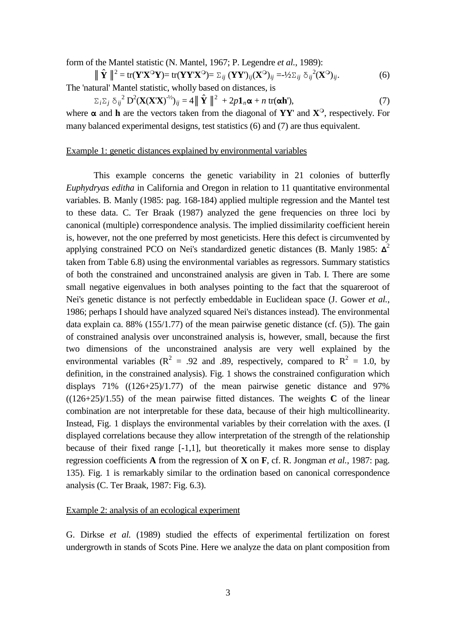form of the Mantel statistic (N. Mantel, 1967; P. Legendre *et al.*, 1989):

 $\|\hat{\mathbf{Y}}\|^2 = \text{tr}(\mathbf{Y}'\mathbf{X}^\mathbf{O}\mathbf{Y}) = \text{tr}(\mathbf{Y}\mathbf{Y}'\mathbf{X}^\mathbf{O}) = \sum_{ij} (\mathbf{Y}\mathbf{Y}')_{ij} (\mathbf{X}^\mathbf{O})_{ij} = -\frac{1}{2}\sum_{ij} \delta_{ij}^2 (\mathbf{X}^\mathbf{O})_{ij}.$  (6) The 'natural' Mantel statistic, wholly based on distances, is

 $\Sigma_i \Sigma_j \delta_{ij}^2 \mathbf{D}^2 (\mathbf{X} (\mathbf{X} \mathbf{X})^{-1/2})_{ij} = 4 || \hat{\mathbf{Y}} ||^2 + 2p \mathbf{1}_n \alpha + n \text{ tr}(\alpha \mathbf{h}^2),$  (7) where  $\alpha$  and **h** are the vectors taken from the diagonal of **YY**' and **X**<sup>O</sup>, respectively. For many balanced experimental designs, test statistics (6) and (7) are thus equivalent.

# Example 1: genetic distances explained by environmental variables

This example concerns the genetic variability in 21 colonies of butterfly *Euphydryas editha* in California and Oregon in relation to 11 quantitative environmental variables. B. Manly (1985: pag. 168-184) applied multiple regression and the Mantel test to these data. C. Ter Braak (1987) analyzed the gene frequencies on three loci by canonical (multiple) correspondence analysis. The implied dissimilarity coefficient herein is, however, not the one preferred by most geneticists. Here this defect is circumvented by applying constrained PCO on Nei's standardized genetic distances (B. Manly 1985: **Δ**<sup>2</sup> taken from Table 6.8) using the environmental variables as regressors. Summary statistics of both the constrained and unconstrained analysis are given in Tab. I. There are some small negative eigenvalues in both analyses pointing to the fact that the squareroot of Nei's genetic distance is not perfectly embeddable in Euclidean space (J. Gower *et al.*, 1986; perhaps I should have analyzed squared Nei's distances instead). The environmental data explain ca. 88% (155/1.77) of the mean pairwise genetic distance (cf. (5)). The gain of constrained analysis over unconstrained analysis is, however, small, because the first two dimensions of the unconstrained analysis are very well explained by the environmental variables ( $R^2 = .92$  and .89, respectively, compared to  $R^2 = 1.0$ , by definition, in the constrained analysis). Fig. 1 shows the constrained configuration which displays  $71\%$  ( $(126+25)/1.77$ ) of the mean pairwise genetic distance and 97%  $((126+25)/1.55)$  of the mean pairwise fitted distances. The weights **C** of the linear combination are not interpretable for these data, because of their high multicollinearity. Instead, Fig. 1 displays the environmental variables by their correlation with the axes. (I displayed correlations because they allow interpretation of the strength of the relationship because of their fixed range [-1,1], but theoretically it makes more sense to display regression coefficients **A** from the regression of **X** on **F**, cf. R. Jongman *et al.*, 1987: pag. 135). Fig. 1 is remarkably similar to the ordination based on canonical correspondence analysis (C. Ter Braak, 1987: Fig. 6.3).

# Example 2: analysis of an ecological experiment

G. Dirkse *et al.* (1989) studied the effects of experimental fertilization on forest undergrowth in stands of Scots Pine. Here we analyze the data on plant composition from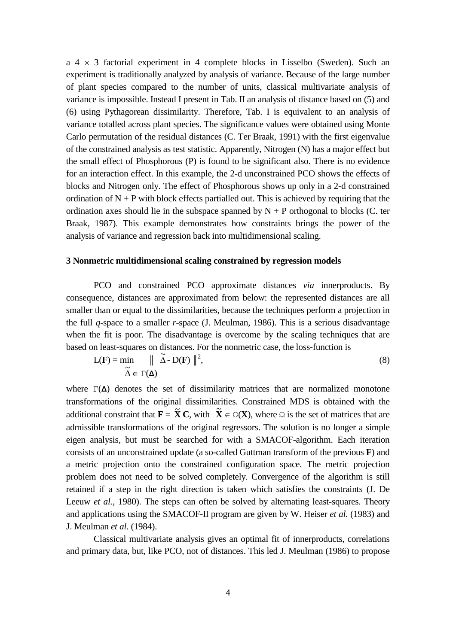$a \neq x$  3 factorial experiment in 4 complete blocks in Lisselbo (Sweden). Such an experiment is traditionally analyzed by analysis of variance. Because of the large number of plant species compared to the number of units, classical multivariate analysis of variance is impossible. Instead I present in Tab. II an analysis of distance based on (5) and (6) using Pythagorean dissimilarity. Therefore, Tab. I is equivalent to an analysis of variance totalled across plant species. The significance values were obtained using Monte Carlo permutation of the residual distances (C. Ter Braak, 1991) with the first eigenvalue of the constrained analysis as test statistic. Apparently, Nitrogen (N) has a major effect but the small effect of Phosphorous (P) is found to be significant also. There is no evidence for an interaction effect. In this example, the 2-d unconstrained PCO shows the effects of blocks and Nitrogen only. The effect of Phosphorous shows up only in a 2-d constrained ordination of  $N + P$  with block effects partialled out. This is achieved by requiring that the ordination axes should lie in the subspace spanned by  $N + P$  orthogonal to blocks (C. ter Braak, 1987). This example demonstrates how constraints brings the power of the analysis of variance and regression back into multidimensional scaling.

#### **3 Nonmetric multidimensional scaling constrained by regression models**

PCO and constrained PCO approximate distances *via* innerproducts. By consequence, distances are approximated from below: the represented distances are all smaller than or equal to the dissimilarities, because the techniques perform a projection in the full *q*-space to a smaller *r*-space (J. Meulman, 1986). This is a serious disadvantage when the fit is poor. The disadvantage is overcome by the scaling techniques that are based on least-squares on distances. For the nonmetric case, the loss-function is

$$
L(\mathbf{F}) = \min_{\widetilde{\Delta} \in \Gamma(\Delta)} \|\widetilde{\Delta} - D(\mathbf{F})\|^2,
$$
\n(8)

where  $\Gamma(\Delta)$  denotes the set of dissimilarity matrices that are normalized monotone transformations of the original dissimilarities. Constrained MDS is obtained with the additional constraint that  $\mathbf{F} = \tilde{\mathbf{X}} \mathbf{C}$ , with  $\tilde{\mathbf{X}} \in \Omega(\mathbf{X})$ , where  $\Omega$  is the set of matrices that are admissible transformations of the original regressors. The solution is no longer a simple eigen analysis, but must be searched for with a SMACOF-algorithm. Each iteration consists of an unconstrained update (a so-called Guttman transform of the previous **F**) and a metric projection onto the constrained configuration space. The metric projection problem does not need to be solved completely. Convergence of the algorithm is still retained if a step in the right direction is taken which satisfies the constraints (J. De Leeuw *et al.*, 1980). The steps can often be solved by alternating least-squares. Theory and applications using the SMACOF-II program are given by W. Heiser *et al.* (1983) and J. Meulman *et al.* (1984).

Classical multivariate analysis gives an optimal fit of innerproducts, correlations and primary data, but, like PCO, not of distances. This led J. Meulman (1986) to propose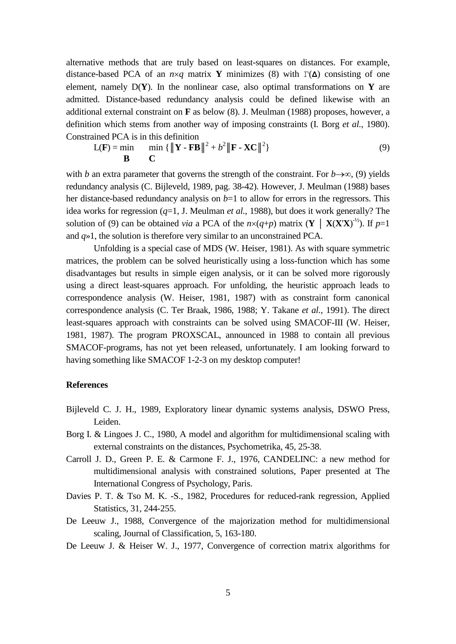alternative methods that are truly based on least-squares on distances. For example, distance-based PCA of an  $n \times q$  matrix **Y** minimizes (8) with  $\Gamma(\Delta)$  consisting of one element, namely  $D(Y)$ . In the nonlinear case, also optimal transformations on **Y** are admitted. Distance-based redundancy analysis could be defined likewise with an additional external constraint on **F** as below (8). J. Meulman (1988) proposes, however, a definition which stems from another way of imposing constraints (I. Borg *et al.*, 1980). Constrained PCA is in this definition

$$
L(\mathbf{F}) = \min_{\mathbf{B}} \qquad \min_{\mathbf{C}} \left\{ \|\mathbf{Y} - \mathbf{F}\mathbf{B}\|^2 + b^2 \|\mathbf{F} - \mathbf{X}\mathbf{C}\|^2 \right\} \tag{9}
$$

with *b* an extra parameter that governs the strength of the constraint. For  $b \rightarrow \infty$ , (9) yields redundancy analysis (C. Bijleveld, 1989, pag. 38-42). However, J. Meulman (1988) bases her distance-based redundancy analysis on  $b=1$  to allow for errors in the regressors. This idea works for regression (*q*=1, J. Meulman *et al.*, 1988), but does it work generally? The solution of (9) can be obtained *via* a PCA of the  $n \times (q+p)$  matrix (**Y** | **X(X'X)**<sup>-1/2</sup>). If  $p=1$ and *q*»1, the solution is therefore very similar to an unconstrained PCA.

Unfolding is a special case of MDS (W. Heiser, 1981). As with square symmetric matrices, the problem can be solved heuristically using a loss-function which has some disadvantages but results in simple eigen analysis, or it can be solved more rigorously using a direct least-squares approach. For unfolding, the heuristic approach leads to correspondence analysis (W. Heiser, 1981, 1987) with as constraint form canonical correspondence analysis (C. Ter Braak, 1986, 1988; Y. Takane *et al.*, 1991). The direct least-squares approach with constraints can be solved using SMACOF-III (W. Heiser, 1981, 1987). The program PROXSCAL, announced in 1988 to contain all previous SMACOF-programs, has not yet been released, unfortunately. I am looking forward to having something like SMACOF 1-2-3 on my desktop computer!

#### **References**

- Bijleveld C. J. H., 1989, Exploratory linear dynamic systems analysis, DSWO Press, Leiden.
- Borg I. & Lingoes J. C., 1980, A model and algorithm for multidimensional scaling with external constraints on the distances, Psychometrika, 45, 25-38.
- Carroll J. D., Green P. E. & Carmone F. J., 1976, CANDELINC: a new method for multidimensional analysis with constrained solutions, Paper presented at The International Congress of Psychology, Paris.
- Davies P. T. & Tso M. K. -S., 1982, Procedures for reduced-rank regression, Applied Statistics, 31, 244-255.
- De Leeuw J., 1988, Convergence of the majorization method for multidimensional scaling, Journal of Classification, 5, 163-180.
- De Leeuw J. & Heiser W. J., 1977, Convergence of correction matrix algorithms for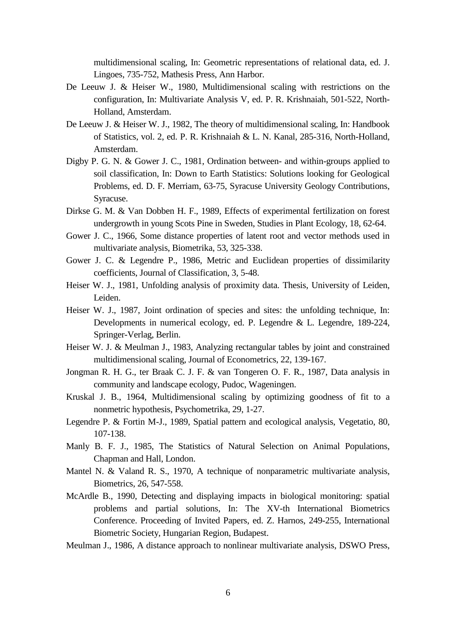multidimensional scaling, In: Geometric representations of relational data, ed. J. Lingoes, 735-752, Mathesis Press, Ann Harbor.

- De Leeuw J. & Heiser W., 1980, Multidimensional scaling with restrictions on the configuration, In: Multivariate Analysis V, ed. P. R. Krishnaiah, 501-522, North-Holland, Amsterdam.
- De Leeuw J. & Heiser W. J., 1982, The theory of multidimensional scaling, In: Handbook of Statistics, vol. 2, ed. P. R. Krishnaiah & L. N. Kanal, 285-316, North-Holland, Amsterdam.
- Digby P. G. N. & Gower J. C., 1981, Ordination between- and within-groups applied to soil classification, In: Down to Earth Statistics: Solutions looking for Geological Problems, ed. D. F. Merriam, 63-75, Syracuse University Geology Contributions, Syracuse.
- Dirkse G. M. & Van Dobben H. F., 1989, Effects of experimental fertilization on forest undergrowth in young Scots Pine in Sweden, Studies in Plant Ecology, 18, 62-64.
- Gower J. C., 1966, Some distance properties of latent root and vector methods used in multivariate analysis, Biometrika, 53, 325-338.
- Gower J. C. & Legendre P., 1986, Metric and Euclidean properties of dissimilarity coefficients, Journal of Classification, 3, 5-48.
- Heiser W. J., 1981, Unfolding analysis of proximity data. Thesis, University of Leiden, Leiden.
- Heiser W. J., 1987, Joint ordination of species and sites: the unfolding technique, In: Developments in numerical ecology, ed. P. Legendre & L. Legendre, 189-224, Springer-Verlag, Berlin.
- Heiser W. J. & Meulman J., 1983, Analyzing rectangular tables by joint and constrained multidimensional scaling, Journal of Econometrics, 22, 139-167.
- Jongman R. H. G., ter Braak C. J. F. & van Tongeren O. F. R., 1987, Data analysis in community and landscape ecology, Pudoc, Wageningen.
- Kruskal J. B., 1964, Multidimensional scaling by optimizing goodness of fit to a nonmetric hypothesis, Psychometrika, 29, 1-27.
- Legendre P. & Fortin M-J., 1989, Spatial pattern and ecological analysis, Vegetatio, 80, 107-138.
- Manly B. F. J., 1985, The Statistics of Natural Selection on Animal Populations, Chapman and Hall, London.
- Mantel N. & Valand R. S., 1970, A technique of nonparametric multivariate analysis, Biometrics, 26, 547-558.
- McArdle B., 1990, Detecting and displaying impacts in biological monitoring: spatial problems and partial solutions, In: The XV-th International Biometrics Conference. Proceeding of Invited Papers, ed. Z. Harnos, 249-255, International Biometric Society, Hungarian Region, Budapest.
- Meulman J., 1986, A distance approach to nonlinear multivariate analysis, DSWO Press,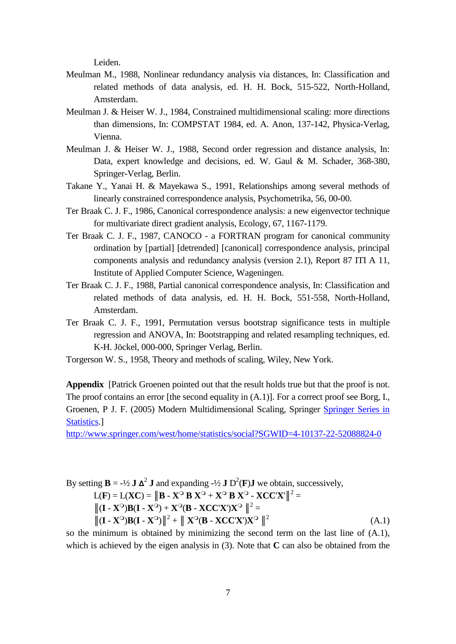Leiden.

- Meulman M., 1988, Nonlinear redundancy analysis via distances, In: Classification and related methods of data analysis, ed. H. H. Bock, 515-522, North-Holland, Amsterdam.
- Meulman J. & Heiser W. J., 1984, Constrained multidimensional scaling: more directions than dimensions, In: COMPSTAT 1984, ed. A. Anon, 137-142, Physica-Verlag, Vienna.
- Meulman J. & Heiser W. J., 1988, Second order regression and distance analysis, In: Data, expert knowledge and decisions, ed. W. Gaul & M. Schader, 368-380, Springer-Verlag, Berlin.
- Takane Y., Yanai H. & Mayekawa S., 1991, Relationships among several methods of linearly constrained correspondence analysis, Psychometrika, 56, 00-00.
- Ter Braak C. J. F., 1986, Canonical correspondence analysis: a new eigenvector technique for multivariate direct gradient analysis, Ecology, 67, 1167-1179.
- Ter Braak C. J. F., 1987, CANOCO a FORTRAN program for canonical community ordination by [partial] [detrended] [canonical] correspondence analysis, principal components analysis and redundancy analysis (version 2.1), Report 87 ITI A 11, Institute of Applied Computer Science, Wageningen.
- Ter Braak C. J. F., 1988, Partial canonical correspondence analysis, In: Classification and related methods of data analysis, ed. H. H. Bock, 551-558, North-Holland, Amsterdam.
- Ter Braak C. J. F., 1991, Permutation versus bootstrap significance tests in multiple regression and ANOVA, In: Bootstrapping and related resampling techniques, ed. K-H. Jöckel, 000-000, Springer Verlag, Berlin.
- Torgerson W. S., 1958, Theory and methods of scaling, Wiley, New York.

**Appendix** [Patrick Groenen pointed out that the result holds true but that the proof is not. The proof contains an error [the second equality in (A.1)]. For a correct proof see Borg, I., Groenen, P J. F. (2005) Modern Multidimensional Scaling, Springer [Springer Series in](http://www.springer.com/west/home/statistics/social?SGWID=4-10137-69-173621571-0)  [Statistics.](http://www.springer.com/west/home/statistics/social?SGWID=4-10137-69-173621571-0)]

<http://www.springer.com/west/home/statistics/social?SGWID=4-10137-22-52088824-0>

By setting  $\mathbf{B} = -\frac{1}{2} \mathbf{J} \mathbf{\Delta}^2 \mathbf{J}$  and expanding  $-\frac{1}{2} \mathbf{J} \mathbf{D}^2(\mathbf{F}) \mathbf{J}$  we obtain, successively,  $L(\mathbf{F}) = L(\mathbf{XC}) = ||\mathbf{B} - \mathbf{X}^{\mathsf{O}} \mathbf{B} \mathbf{X}^{\mathsf{O}} + \mathbf{X}^{\mathsf{O}} \mathbf{B} \mathbf{X}^{\mathsf{O}} - \mathbf{XCC} \mathbf{X}^{\prime}||^2 =$  $||(I - X^{\circ})B(I - X^{\circ}) + X^{\circ}(B - XCC'X')X^{\circ}||^{2} =$  $\|\mathbf{I} - \mathbf{X}^{\mathbf{O}}\mathbf{B}\mathbf{I} - \mathbf{X}^{\mathbf{O}}\|^2 + \|\mathbf{X}^{\mathbf{O}}(\mathbf{B} - \mathbf{XCC}\mathbf{X})\mathbf{X}^{\mathbf{O}}\|^2$  (A.1)

so the minimum is obtained by minimizing the second term on the last line of (A.1), which is achieved by the eigen analysis in (3). Note that **C** can also be obtained from the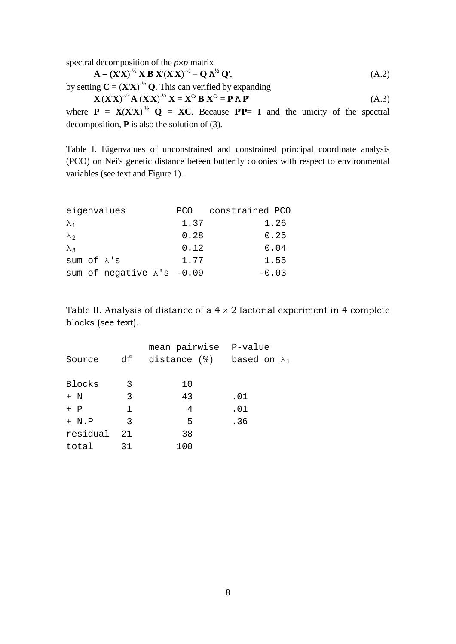spectral decomposition of the *p*×*p* matrix

$$
\mathbf{A} \equiv (\mathbf{X}'\mathbf{X})^{-1/2} \mathbf{X} \mathbf{B} \mathbf{X}' (\mathbf{X}'\mathbf{X})^{-1/2} = \mathbf{Q} \mathbf{A}^{1/2} \mathbf{Q}',\tag{A.2}
$$

by setting  $C = (X'X)^{-1/2} Q$ . This can verified by expanding

$$
\mathbf{X}'(\mathbf{X}'\mathbf{X})^{\cdot 2} \mathbf{A} (\mathbf{X}'\mathbf{X})^{\cdot 2} \mathbf{X} = \mathbf{X}^{\circ} \mathbf{B} \mathbf{X}^{\circ} = \mathbf{P} \mathbf{\Lambda} \mathbf{P}'
$$
 (A.3)

where  $P = X(X'X)^{-1/2} Q = XC$ . Because  $PP = I$  and the unicity of the spectral decomposition, **P** is also the solution of (3).

Table I. Eigenvalues of unconstrained and constrained principal coordinate analysis (PCO) on Nei's genetic distance beteen butterfly colonies with respect to environmental variables (see text and Figure 1).

| eigenvalues         |                                    | PCO  | constrained PCO |
|---------------------|------------------------------------|------|-----------------|
| $\lambda_1$         |                                    | 1.37 | 1.26            |
| $\lambda$           |                                    | 0.28 | 0.25            |
| $\lambda$           |                                    | 0.12 | 0.04            |
| sum of $\lambda$ 's |                                    | 1.77 | 1.55            |
|                     | sum of negative $\lambda$ 's -0.09 |      | $-0.03$         |

Table II. Analysis of distance of a  $4 \times 2$  factorial experiment in 4 complete blocks (see text).

|              | mean pairwise P-value             |     |
|--------------|-----------------------------------|-----|
|              | distance (%) based on $\lambda_1$ |     |
|              |                                   |     |
| -3           | 10                                |     |
| 3            | 43                                | .01 |
| $\mathbf{1}$ | 4                                 | .01 |
| 3            | 5                                 | .36 |
| 21           | 38                                |     |
| 31           | 100                               |     |
|              | df                                |     |